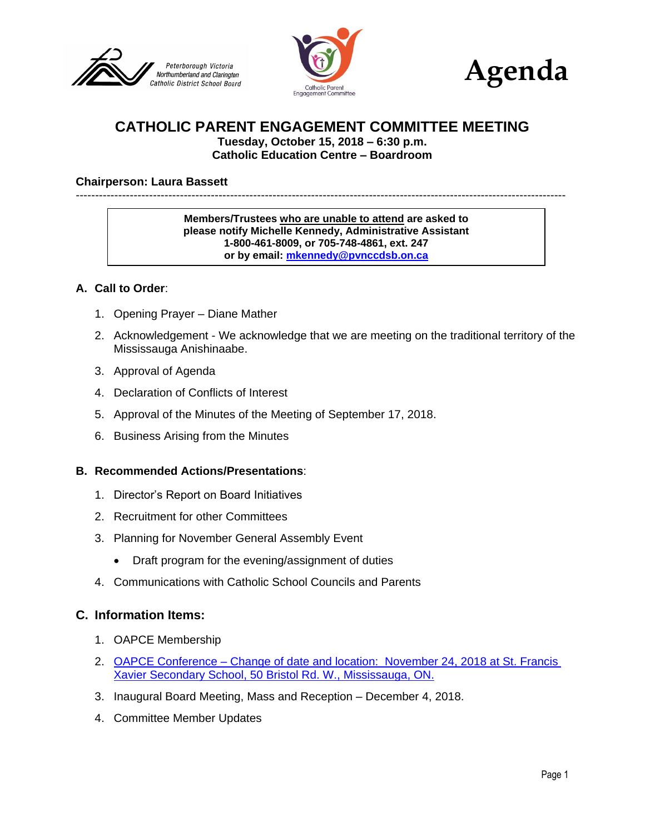





# **CATHOLIC PARENT ENGAGEMENT COMMITTEE MEETING**

**Tuesday, October 15, 2018 – 6:30 p.m. Catholic Education Centre – Boardroom**

#### **Chairperson: Laura Bassett**

-------------------------------------------------------------------------------------------------------------------------------

**Members/Trustees who are unable to attend are asked to please notify Michelle Kennedy, Administrative Assistant 1-800-461-8009, or 705-748-4861, ext. 247 or by email: [mkennedy@pvnccdsb.on.ca](mailto:mkennedy@pvnccdsb.on.ca)**

#### **A. Call to Order**:

- 1. Opening Prayer Diane Mather
- 2. Acknowledgement We acknowledge that we are meeting on the traditional territory of the Mississauga Anishinaabe.
- 3. Approval of Agenda
- 4. Declaration of Conflicts of Interest
- 5. Approval of the Minutes of the Meeting of September 17, 2018.
- 6. Business Arising from the Minutes

#### **B. Recommended Actions/Presentations**:

- 1. Director's Report on Board Initiatives
- 2. Recruitment for other Committees
- 3. Planning for November General Assembly Event
	- Draft program for the evening/assignment of duties
- 4. Communications with Catholic School Councils and Parents

### **C. Information Items:**

- 1. OAPCE Membership
- 2. OAPCE Conference [Change of date and location: November 24, 2018 at St. Francis](https://drive.google.com/open?id=1LIDmuQpgtZvC3Durr3-LhgE0hilktGLL)  [Xavier Secondary School, 50 Bristol Rd. W., Mississauga, ON.](https://drive.google.com/open?id=1LIDmuQpgtZvC3Durr3-LhgE0hilktGLL)
- 3. Inaugural Board Meeting, Mass and Reception December 4, 2018.
- 4. Committee Member Updates